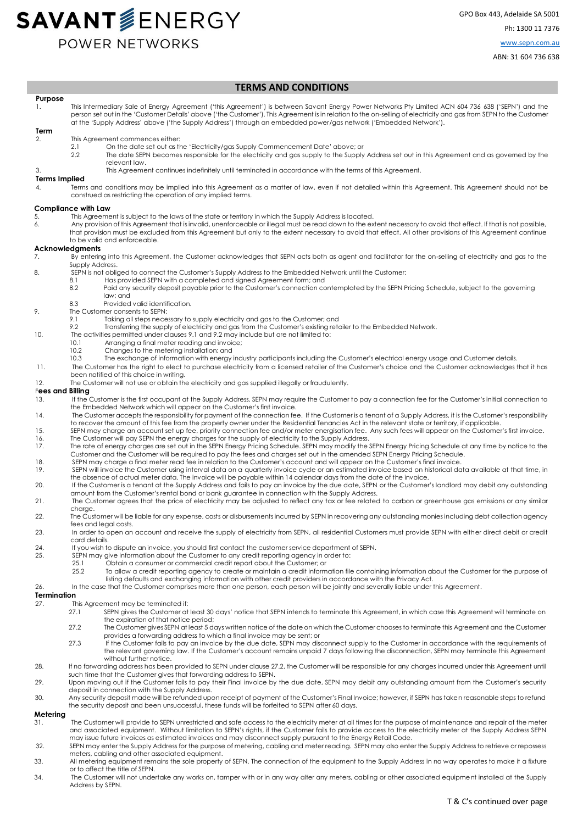# **SAVANT**SENERGY POWER NETWORKS

GPO Box 443, Adelaide SA 5001 Ph: 1300 11 7376 [www.sepn.com.au](http://www.sepn.com.au/)

ABN: 31 604 736 638

#### **TERMS AND CONDITIONS**

- **Purpose**  1. This Intermediary Sale of Energy Agreement ('this Agreement') is between Savant Energy Power Networks Pty Limited ACN 604 736 638 ('SEPN') and the person set out in the 'Customer Details' above ('the Customer'). This Agreement is in relation to the on-selling of electricity and gas from SEPN to the Customer at the 'Supply Address' above ('the Supply Address') through an embedded power/gas network ('Embedded Network').
- **Term**  2. This Agreement commences either:
	- - 2.1 On the date set out as the 'Electricity/gas Supply Commencement Date' above; or 2.2 The date SEPN becomes responsible for the electricity and aas supply to the Supply The date SEPN becomes responsible for the electricity and gas supply to the Supply Address set out in this Agreement and as governed by the relevant law.
	- 3. This Agreement continues indefinitely until terminated in accordance with the terms of this Agreement.

### **Terms Implied**<br>4<br>**Term**

Terms and conditions may be implied into this Agreement as a matter of law, even if not detailed within this Agreement. This Agreement should not be construed as restricting the operation of any implied terms.

#### **Compliance with Law**

- 5. This Agreement is subject to the laws of the state or territory in which the Supply Address is located.
- 6. Any provision of this Agreement that is invalid, unenforceable or illegal must be read down to the extent necessary to avoid that effect. If that is not possible, that provision must be excluded from this Agreement but only to the extent necessary to avoid that effect. All other provisions of this Agreement continue to be valid and enforceable.

#### **Acknowledgments**

- 7. By entering into this Agreement, the Customer acknowledges that SEPN acts both as agent and facilitator for the on-selling of electricity and gas to the Supply Address.
- 8. SEPN is not obliged to connect the Customer's Supply Address to the Embedded Network until the Customer:
	- 8.1 Has provided SEPN with a completed and signed Agreement form; and
	- 8.2 Paid any security deposit payable prior to the Customer's connection contemplated by the SEPN Pricing Schedule, subject to the governing law; and
	- 8.3 Provided valid identification.
- 9. The Customer consents to SEPN:
	- 9.1 Taking all steps necessary to supply electricity and gas to the Customer; and
		- 9.2 Transferring the supply of electricity and gas from the Customer's existing retailer to the Embedded Network.
- 10. The activities permitted under clauses 9.1 and 9.2 may include but are not limited to:
	- 10.1 Arranging a final meter reading and invoice;
	- $10.2$ Changes to the metering installation; and
- 10.3 The exchange of information with energy industry participants including the Customer's electrical energy usage and Customer details.
- 11. The Customer has the right to elect to purchase electricity from a licensed retailer of the Customer's choice and the Customer acknowledges that it has been notified of this choice in writing.
- 12. The Customer will not use or obtain the electricity and gas supplied illegally or fraudulently.

#### F**ees and Billing**

- 13. If the Customer is the first occupant at the Supply Address, SEPN may require the Customer to pay a connection fee for the Customer's initial connection to<br>the Embedded Network which will appear on the Customer's first
- 14. The Customer accepts the responsibility for payment of the connection fee. If the Customer is a tenant of a Supply Address, it is the Customer's responsibility to recover the amount of this fee from the property owner under the Residential Tenancies Act in the relevant state or territory, if applicable.
- 15. SEPN may charge an account set up fee, priority connection fee and/or meter energisation fee. Any such fees will appear on the Customer's first invoice. 16. The Customer will pay SEPN the energy charges for the supply of electricity to the Supply Address.
- 17. The rate of energy charges are set out in the SEPN Energy Pricing Schedule. SEPN may modify the SEPN Energy Pricing Schedule at any time by notice to the Customer and the Customer will be required to pay the fees and charges set out in the amended SEPN Energy Pricing Schedule.
- 18. SEPN may charge a final meter read fee in relation to the Customer's account and will appear on the Customer's final invoice<br>19. SEPN will invoice the Customer using interval data on a quarterly invoice cycle or an est
- SEPN will invoice the Customer using interval data on a quarterly invoice cycle or an estimated invoice based on historical data available at that time, in the absence of actual meter data. The invoice will be payable within 14 calendar days from the date of the invoice.
- 20. If the Customer is a tenant at the Supply Address and fails to pay an invoice by the due date, SEPN or the Customer's landlord may debit any outstanding amount from the Customer's rental bond or bank guarantee in connection with the Supply Address.
- 21. The Customer agrees that the price of electricity may be adjusted to reflect any tax or fee related to carbon or greenhouse gas emissions or any similar charge.
- 22. The Customer will be liable for any expense, costs or disbursements incurred by SEPN in recovering any outstanding monies including debt collection agency fees and legal costs.
- 23. In order to open an account and receive the supply of electricity from SEPN, all residential Customers must provide SEPN with either direct debit or credit card details.
- 24. If you wish to dispute an invoice, you should first contact the customer service department of SEPN.<br>25. SEPN may give information about the Customer to any credit reporting agency in order
	-
	- 25.1 Obtain a consumer or commercial credit report about the Customer; or
		- 25.2 To allow a credit reporting agency to create or maintain a credit information file containing information about the Customer for the purpose of listing defaults and exchanging information with other credit providers in accordance with the Privacy Act.
- 26. In the case that the Customer comprises more than one person, each person will be jointly and severally liable under this Agreement.

#### **Termination**

- 27. This Agreement may be terminated if:
	- 27.1 SEPN gives the Customer at least 30 days' notice that SEPN intends to terminate this Agreement, in which case this Agreement will terminate on the expiration of that notice period;
	- 27.2 The Customer gives SEPN at least 5 days written notice of the date on which the Customer chooses to terminate this Agreement and the Customer provides a forwarding address to which a final invoice may be sent; or
	- 27.3 If the Customer fails to pay an invoice by the due date, SEPN may disconnect supply to the Customer in accordance with the requirements of the relevant governing law. If the Customer's account remains unpaid 7 days following the disconnection, SEPN may terminate this Agreement without further notice.
- 28. If no forwarding address has been provided to SEPN under clause 27.2, the Customer will be responsible for any charges incurred under this Agreement until such time that the Customer gives that forwarding address to SEPN.
- 29. Upon moving out if the Customer fails to pay their Final invoice by the due date, SEPN may debit any outstanding amount from the Customer's security deposit in connection with the Supply Address.
- 30. Any security deposit made will be refunded upon receipt of payment of the Customer's Final Invoice; however, if SEPN has taken reasonable steps to refund the security deposit and been unsuccessful, these funds will be forfeited to SEPN after 60 days.

#### **Metering**

- 31. The Customer will provide to SEPN unrestricted and safe access to the electricity meter at all times for the purpose of maintenance and repair of the meter and associated equipment. Without limitation to SEPN's rights, if the Customer fails to provide access to the electricity meter at the Supply Address SEPN may issue future invoices as estimated invoices and may disconnect supply pursuant to the Energy Retail Code.
- 32. SEPN may enter the Supply Address for the purpose of metering, cabling and meter reading. SEPN may also enter the Supply Address to retrieve or repossess meters, cabling and other associated equipment.
- 33. All metering equipment remains the sole property of SEPN. The connection of the equipment to the Supply Address in no way operates to make it a fixture or to affect the title of SEPN.
- 34. The Customer will not undertake any works on, tamper with or in any way alter any meters, cabling or other associated equipment installed at the Supply Address by SEPN.